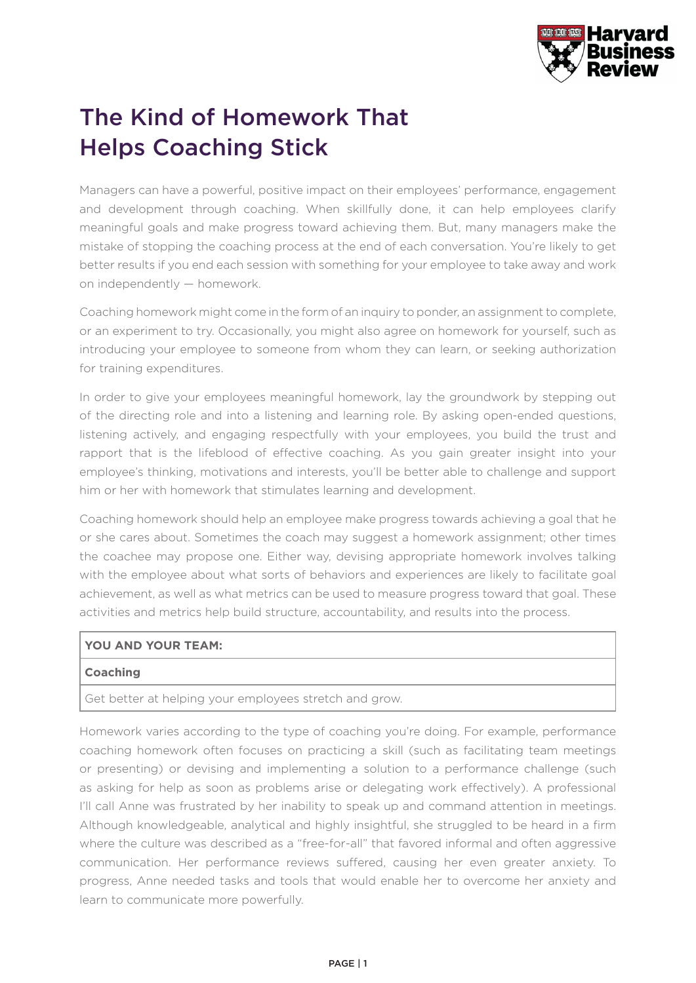

## The Kind of Homework That Helps Coaching Stick

Managers can have a powerful, positive impact on their employees' performance, engagement and development through coaching. When skillfully done, it can help employees clarify meaningful goals and make progress toward achieving them. But, many managers make the mistake of stopping the coaching process at the end of each conversation. You're likely to get better results if you end each session with something for your employee to take away and work on independently — homework.

Coaching homework might come in the form of an inquiry to ponder, an assignment to complete, or an experiment to try. Occasionally, you might also agree on homework for yourself, such as introducing your employee to someone from whom they can learn, or seeking authorization for training expenditures.

In order to give your employees meaningful homework, lay the groundwork by stepping out of the directing role and into a listening and learning role. By asking open-ended questions, listening actively, and engaging respectfully with your employees, you build the trust and rapport that is the lifeblood of effective coaching. As you gain greater insight into your employee's thinking, motivations and interests, you'll be better able to challenge and support him or her with homework that stimulates learning and development.

Coaching homework should help an employee make progress towards achieving a goal that he or she cares about. Sometimes the coach may suggest a homework assignment; other times the coachee may propose one. Either way, devising appropriate homework involves talking with the employee about what sorts of behaviors and experiences are likely to facilitate goal achievement, as well as what metrics can be used to measure progress toward that goal. These activities and metrics help build structure, accountability, and results into the process.

## **YOU AND YOUR TEAM:**

## **Coaching**

Get better at helping your employees stretch and grow.

Homework varies according to the type of coaching you're doing. For example, performance coaching homework often focuses on practicing a skill (such as facilitating team meetings or presenting) or devising and implementing a solution to a performance challenge (such as asking for help as soon as problems arise or delegating work effectively). A professional I'll call Anne was frustrated by her inability to speak up and command attention in meetings. Although knowledgeable, analytical and highly insightful, she struggled to be heard in a firm where the culture was described as a "free-for-all" that favored informal and often aggressive communication. Her performance reviews suffered, causing her even greater anxiety. To progress, Anne needed tasks and tools that would enable her to overcome her anxiety and learn to communicate more powerfully.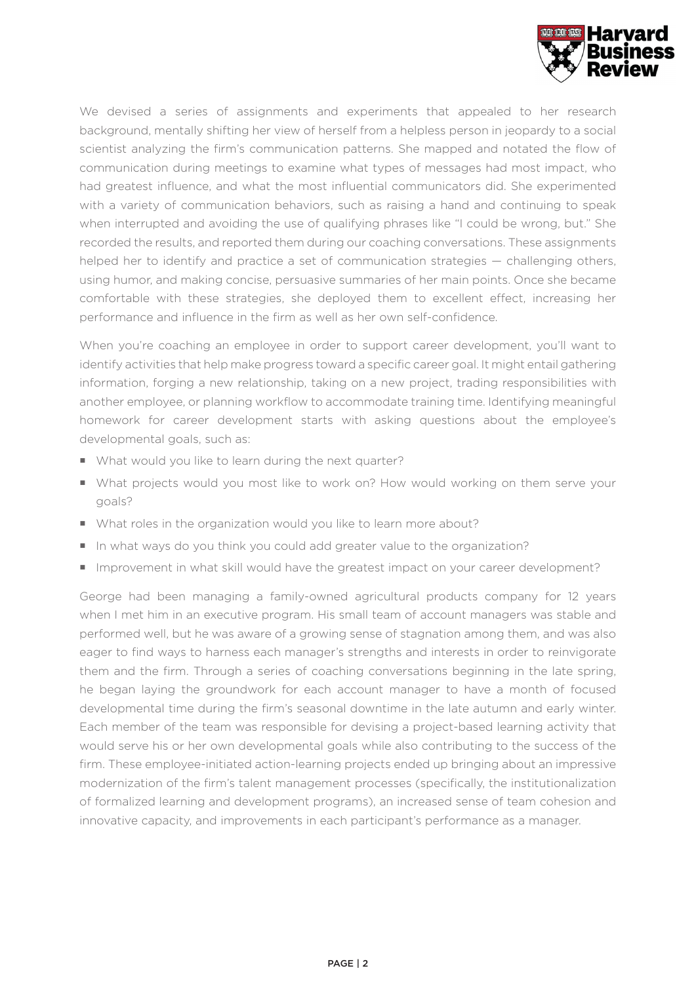

We devised a series of assignments and experiments that appealed to her research background, mentally shifting her view of herself from a helpless person in jeopardy to a social scientist analyzing the firm's communication patterns. She mapped and notated the flow of communication during meetings to examine what types of messages had most impact, who had greatest influence, and what the most influential communicators did. She experimented with a variety of communication behaviors, such as raising a hand and continuing to speak when interrupted and avoiding the use of qualifying phrases like "I could be wrong, but." She recorded the results, and reported them during our coaching conversations. These assignments helped her to identify and practice a set of communication strategies — challenging others, using humor, and making concise, persuasive summaries of her main points. Once she became comfortable with these strategies, she deployed them to excellent effect, increasing her performance and influence in the firm as well as her own self-confidence.

When you're coaching an employee in order to support career development, you'll want to identify activities that help make progress toward a specific career goal. It might entail gathering information, forging a new relationship, taking on a new project, trading responsibilities with another employee, or planning workflow to accommodate training time. Identifying meaningful homework for career development starts with asking questions about the employee's developmental goals, such as:

- What would you like to learn during the next quarter?
- What projects would you most like to work on? How would working on them serve your goals?
- What roles in the organization would you like to learn more about?
- In what ways do you think you could add greater value to the organization?
- Improvement in what skill would have the greatest impact on your career development?

George had been managing a family-owned agricultural products company for 12 years when I met him in an executive program. His small team of account managers was stable and performed well, but he was aware of a growing sense of stagnation among them, and was also eager to find ways to harness each manager's strengths and interests in order to reinvigorate them and the firm. Through a series of coaching conversations beginning in the late spring, he began laying the groundwork for each account manager to have a month of focused developmental time during the firm's seasonal downtime in the late autumn and early winter. Each member of the team was responsible for devising a project-based learning activity that would serve his or her own developmental goals while also contributing to the success of the firm. These employee-initiated action-learning projects ended up bringing about an impressive modernization of the firm's talent management processes (specifically, the institutionalization of formalized learning and development programs), an increased sense of team cohesion and innovative capacity, and improvements in each participant's performance as a manager.